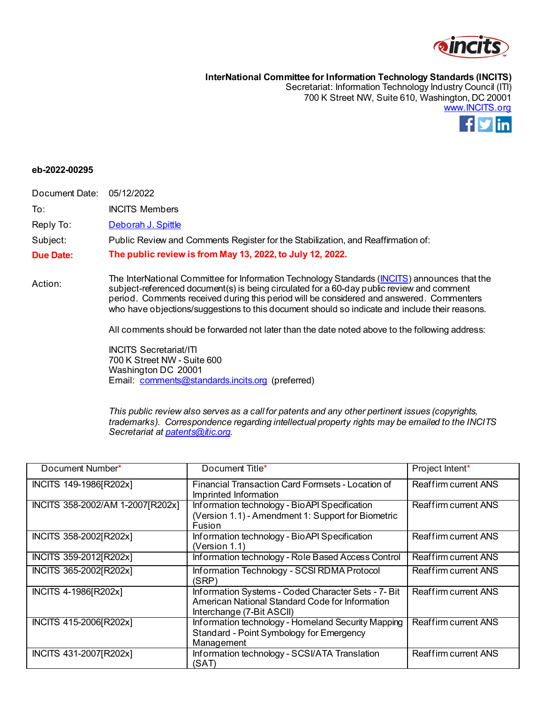

**InterNational Committee for Information Technology Standards (INCITS)** Secretariat: Information Technology Industry Council (ITI)

700 K Street NW, Suite 610, Washington, DC 20001 [www.INCITS.org](http://www.incits.org/)



## **eb-2022-00295**

Document Date: 05/12/2022

To: INCITS Members

Reply To: [Deborah J. Spittle](mailto:dspittle@itic.org)

Subject: Public Review and Comments Register for the Stabilization, and Reaffirmation of:

**Due Date: The public review is from May 13, 2022, to July 12, 2022.**

Action: The InterNational Committee for Information Technology Standards [\(INCITS\)](http://www.incits.org/) announces that the subject-referenced document(s) is being circulated for a 60-day public review and comment period. Comments received during this period will be considered and answered. Commenters who have objections/suggestions to this document should so indicate and include their reasons.

All comments should be forwarded not later than the date noted above to the following address:

INCITS Secretariat/ITI 700 K Street NW - Suite 600 Washington DC 20001 Email: [comments@standards.incits.org](mailto:comments@standards.incits.org) (preferred)

*This public review also serves as a call for patents and any other pertinent issues (copyrights, trademarks). Correspondence regarding intellectual property rights may be emailed to the INCITS Secretariat a[t patents@itic.org](mailto:patents@itic.org).*

| Document Number*                 | Document Title*                                                                                                                     | Project Intent*             |
|----------------------------------|-------------------------------------------------------------------------------------------------------------------------------------|-----------------------------|
| INCITS 149-1986[R202x]           | Financial Transaction Card Formsets - Location of<br>Imprinted Information                                                          | <b>Reaffirm current ANS</b> |
| INCITS 358-2002/AM 1-2007[R202x] | Information technology - Bio API Specification<br>(Version 1.1) - Amendment 1: Support for Biometric<br>Fusion                      | <b>Reaffirm current ANS</b> |
| INCITS 358-2002 [R202x]          | Information technology - Bio API Specification<br>(Version 1.1)                                                                     | <b>Reaffirm current ANS</b> |
| INCITS 359-2012 [R202x]          | Information technology - Role Based Access Control                                                                                  | Reaffirm current ANS        |
| INCITS 365-2002[R202x]           | Information Technology - SCSI RDMA Protocol<br>(SRP)                                                                                | Reaffirm current ANS        |
| INCITS 4-1986[R202x]             | Information Systems - Coded Character Sets - 7- Bit<br>American National Standard Code for Information<br>Interchange (7-Bit ASCII) | <b>Reaffirm current ANS</b> |
| INCITS 415-2006[R202x]           | Information technology - Homeland Security Mapping<br>Standard - Point Symbology for Emergency<br>Management                        | Reaffirm current ANS        |
| INCITS 431-2007 [R202x]          | Information technology - SCSI/ATA Translation<br>(SAT)                                                                              | Reaffirm current ANS        |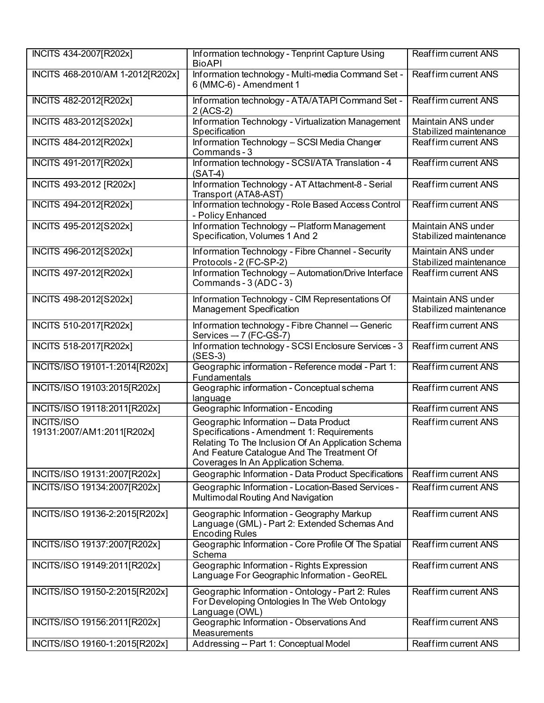| INCITS 434-2007 [R202x]                         | Information technology - Tenprint Capture Using<br><b>BioAPI</b>                                                                                                                                                                | <b>Reaffirm current ANS</b>                         |
|-------------------------------------------------|---------------------------------------------------------------------------------------------------------------------------------------------------------------------------------------------------------------------------------|-----------------------------------------------------|
| INCITS 468-2010/AM 1-2012[R202x]                | Information technology - Multi-media Command Set -<br>6 (MMC-6) - Amendment 1                                                                                                                                                   | Reaffirm current ANS                                |
| INCITS 482-2012[R202x]                          | Information technology - ATA/ATAPI Command Set -<br>2 (ACS-2)                                                                                                                                                                   | <b>Reaffirm current ANS</b>                         |
| INCITS 483-2012[S202x]                          | Information Technology - Virtualization Management<br>Specification                                                                                                                                                             | Maintain ANS under<br>Stabilized maintenance        |
| INCITS 484-2012[R202x]                          | Information Technology - SCSI Media Changer<br>Commands - 3                                                                                                                                                                     | Reaffirm current ANS                                |
| INCITS 491-2017 [R202x]                         | Information technology - SCSI/ATA Translation - 4<br>$(SAT-4)$                                                                                                                                                                  | Reaffirm current ANS                                |
| INCITS 493-2012 [R202x]                         | Information Technology - AT Attachment-8 - Serial<br>Transport (ATA8-AST)                                                                                                                                                       | Reaffirm current ANS                                |
| INCITS 494-2012[R202x]                          | Information technology - Role Based Access Control<br>- Policy Enhanced                                                                                                                                                         | Reaffirm current ANS                                |
| INCITS 495-2012[S202x]                          | Information Technology -- Platform Management<br>Specification, Volumes 1 And 2                                                                                                                                                 | Maintain ANS under<br>Stabilized maintenance        |
| INCITS 496-2012[S202x]                          | Information Technology - Fibre Channel - Security<br>Protocols - 2 (FC-SP-2)                                                                                                                                                    | <b>Maintain ANS under</b><br>Stabilized maintenance |
| INCITS 497-2012[R202x]                          | Information Technology - Automation/Drive Interface<br>Commands - 3 (ADC - 3)                                                                                                                                                   | Reaffirm current ANS                                |
| INCITS 498-2012[S202x]                          | Information Technology - CIM Representations Of<br><b>Management Specification</b>                                                                                                                                              | Maintain ANS under<br>Stabilized maintenance        |
| INCITS 510-2017[R202x]                          | Information technology - Fibre Channel -- Generic<br>Services -- 7 (FC-GS-7)                                                                                                                                                    | Reaffirm current ANS                                |
| INCITS 518-2017[R202x]                          | Information technology - SCSI Enclosure Services - 3<br>$(SES-3)$                                                                                                                                                               | Reaffirm current ANS                                |
| INCITS/ISO 19101-1:2014[R202x]                  | Geographic information - Reference model - Part 1:<br>Fundamentals                                                                                                                                                              | <b>Reaffirm current ANS</b>                         |
| INCITS/ISO 19103:2015[R202x]                    | Geographic information - Conceptual schema<br>language                                                                                                                                                                          | Reaffirm current ANS                                |
| INCITS/ISO 19118:2011[R202x]                    | Geographic Information - Encoding                                                                                                                                                                                               | Reaffirm current ANS                                |
| <b>INCITS/ISO</b><br>19131:2007/AM1:2011[R202x] | Geographic Information -- Data Product<br>Specifications - Amendment 1: Requirements<br>Relating To The Inclusion Of An Application Schema<br>And Feature Catalogue And The Treatment Of<br>Coverages In An Application Schema. | Reaffirm current ANS                                |
| INCITS/ISO 19131:2007[R202x]                    | Geographic Information - Data Product Specifications                                                                                                                                                                            | <b>Reaffirm current ANS</b>                         |
| INCITS/ISO 19134:2007[R202x]                    | Geographic Information - Location-Based Services -<br>Multimodal Routing And Navigation                                                                                                                                         | Reaffirm current ANS                                |
| INCITS/ISO 19136-2:2015[R202x]                  | Geographic Information - Geography Markup<br>Language (GML) - Part 2: Extended Schemas And<br><b>Encoding Rules</b>                                                                                                             | Reaffirm current ANS                                |
| INCITS/ISO 19137:2007[R202x]                    | Geographic Information - Core Profile Of The Spatial<br>Schema                                                                                                                                                                  | <b>Reaffirm current ANS</b>                         |
| INCITS/ISO 19149:2011[R202x]                    | Geographic Information - Rights Expression<br>Language For Geographic Information - GeoREL                                                                                                                                      | Reaffirm current ANS                                |
| INCITS/ISO 19150-2:2015[R202x]                  | Geographic Information - Ontology - Part 2: Rules<br>For Developing Ontologies In The Web Ontology<br>Language (OWL)                                                                                                            | Reaffirm current ANS                                |
| INCITS/ISO 19156:2011[R202x]                    | Geographic Information - Observations And<br>Measurements                                                                                                                                                                       | Reaffirm current ANS                                |
| INCITS/ISO 19160-1:2015[R202x]                  | Addressing -- Part 1: Conceptual Model                                                                                                                                                                                          | Reaffirm current ANS                                |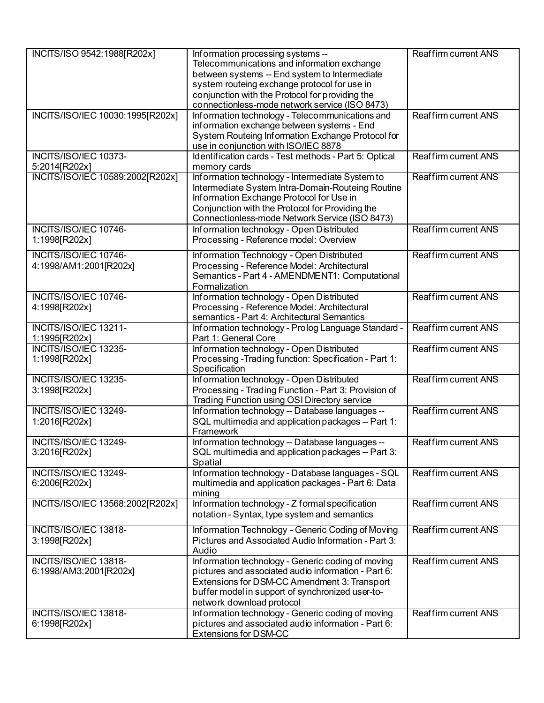| INCITS/ISO 9542:1988[R202x]                     | Information processing systems --<br>Telecommunications and information exchange<br>between systems -- End system to Intermediate<br>system routeing exchange protocol for use in<br>conjunction with the Protocol for providing the<br>connectionless-mode network service (ISO 8473) | <b>Reaffirm current ANS</b> |
|-------------------------------------------------|----------------------------------------------------------------------------------------------------------------------------------------------------------------------------------------------------------------------------------------------------------------------------------------|-----------------------------|
| INCITS/ISO/IEC 10030:1995[R202x]                | Information technology - Telecommunications and<br>information exchange between systems - End<br>System Routeing Information Exchange Protocol for<br>use in conjunction with ISO/IEC 8878                                                                                             | <b>Reaffirm current ANS</b> |
| INCITS/ISO/IEC 10373-<br>5:2014[R202x]          | Identification cards - Test methods - Part 5: Optical<br>memory cards                                                                                                                                                                                                                  | Reaffirm current ANS        |
| INCITS/ISO/IEC 10589:2002[R202x]                | Information technology - Intermediate System to<br>Intermediate System Intra-Domain-Routeing Routine<br>Information Exchange Protocol for Use in<br>Conjunction with the Protocol for Providing the<br>Connectionless-mode Network Service (ISO 8473)                                  | Reaffirm current ANS        |
| INCITS/ISO/IEC 10746-<br>1:1998[R202x]          | Information technology - Open Distributed<br>Processing - Reference model: Overview                                                                                                                                                                                                    | Reaffirm current ANS        |
| INCITS/ISO/IEC 10746-<br>4:1998/AM1:2001[R202x] | Information Technology - Open Distributed<br>Processing - Reference Model: Architectural<br>Semantics - Part 4 - AMENDMENT1: Computational<br>Formalization                                                                                                                            | Reaffirm current ANS        |
| INCITS/ISO/IEC 10746-<br>4:1998[R202x]          | Information technology - Open Distributed<br>Processing - Reference Model: Architectural<br>semantics - Part 4: Architectural Semantics                                                                                                                                                | <b>Reaffirm current ANS</b> |
| INCITS/ISO/IEC 13211-<br>1:1995[R202x]          | Information technology - Prolog Language Standard -<br>Part 1: General Core                                                                                                                                                                                                            | <b>Reaffirm current ANS</b> |
| INCITS/ISO/IEC 13235-<br>1:1998[R202x]          | Information technology - Open Distributed<br>Processing - Trading function: Specification - Part 1:<br>Specification                                                                                                                                                                   | Reaffirm current ANS        |
| <b>INCITS/ISO/IEC 13235-</b><br>3:1998[R202x]   | Information technology - Open Distributed<br>Processing - Trading Function - Part 3: Provision of<br>Trading Function using OSI Directory service                                                                                                                                      | <b>Reaffirm current ANS</b> |
| INCITS/ISO/IEC 13249-<br>1:2016[R202x]          | Information technology -- Database languages --<br>SQL multimedia and application packages -- Part 1:<br>Framework                                                                                                                                                                     | <b>Reaffirm current ANS</b> |
| <b>INCITS/ISO/IEC 13249-</b><br>3:2016[R202x]   | Information technology -- Database languages --<br>SQL multimedia and application packages -- Part 3:<br>Spatial                                                                                                                                                                       | Reaffirm current ANS        |
| INCITS/ISO/IEC 13249-<br>6:2006[R202x]          | Information technology - Database languages - SQL<br>multimedia and application packages - Part 6: Data<br>mining                                                                                                                                                                      | Reaffirm current ANS        |
| INCITS/ISO/IEC 13568:2002[R202x]                | Information technology - Z formal specification<br>notation - Syntax, type system and semantics                                                                                                                                                                                        | <b>Reaffirm current ANS</b> |
| INCITS/ISO/IEC 13818-<br>3:1998[R202x]          | Information Technology - Generic Coding of Moving<br>Pictures and Associated Audio Information - Part 3:<br>Audio                                                                                                                                                                      | <b>Reaffirm current ANS</b> |
| INCITS/ISO/IEC 13818-<br>6:1998/AM3:2001[R202x] | Information technology - Generic coding of moving<br>pictures and associated audio information - Part 6:<br>Extensions for DSM-CC Amendment 3: Transport<br>buffer model in support of synchronized user-to-<br>network download protocol                                              | Reaffirm current ANS        |
| INCITS/ISO/IEC 13818-<br>6:1998[R202x]          | Information technology - Generic coding of moving<br>pictures and associated audio information - Part 6:<br><b>Extensions for DSM-CC</b>                                                                                                                                               | <b>Reaffirm current ANS</b> |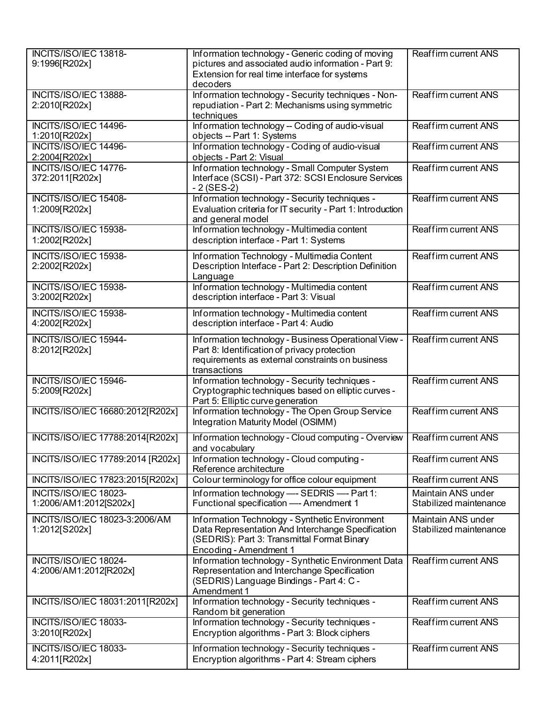| INCITS/ISO/IEC 13818-<br>9:1996[R202x]          | Information technology - Generic coding of moving<br>pictures and associated audio information - Part 9:<br>Extension for real time interface for systems<br>decoders        | <b>Reaffirm current ANS</b>                  |
|-------------------------------------------------|------------------------------------------------------------------------------------------------------------------------------------------------------------------------------|----------------------------------------------|
| INCITS/ISO/IEC 13888-<br>2:2010[R202x]          | Information technology - Security techniques - Non-<br>repudiation - Part 2: Mechanisms using symmetric<br>techniques                                                        | <b>Reaffirm current ANS</b>                  |
| INCITS/ISO/IEC 14496-<br>1:2010[R202x]          | Information technology -- Coding of audio-visual<br>objects -- Part 1: Systems                                                                                               | Reaffirm current ANS                         |
| INCITS/ISO/IEC 14496-<br>2:2004[R202x]          | Information technology - Coding of audio-visual<br>objects - Part 2: Visual                                                                                                  | <b>Reaffirm current ANS</b>                  |
| INCITS/ISO/IEC 14776-<br>372:2011[R202x]        | Information technology - Small Computer System<br>Interface (SCSI) - Part 372: SCSI Enclosure Services<br>$-2$ (SES-2)                                                       | Reaffirm current ANS                         |
| INCITS/ISO/IEC 15408-<br>1:2009[R202x]          | Information technology - Security techniques -<br>Evaluation criteria for IT security - Part 1: Introduction<br>and general model                                            | Reaffirm current ANS                         |
| INCITS/ISO/IEC 15938-<br>1:2002[R202x]          | Information technology - Multimedia content<br>description interface - Part 1: Systems                                                                                       | Reaffirm current ANS                         |
| INCITS/ISO/IEC 15938-<br>2:2002[R202x]          | Information Technology - Multimedia Content<br>Description Interface - Part 2: Description Definition<br>Language                                                            | Reaffirm current ANS                         |
| INCITS/ISO/IEC 15938-<br>3:2002[R202x]          | Information technology - Multimedia content<br>description interface - Part 3: Visual                                                                                        | <b>Reaffirm current ANS</b>                  |
| INCITS/ISO/IEC 15938-<br>4:2002[R202x]          | Information technology - Multimedia content<br>description interface - Part 4: Audio                                                                                         | Reaffirm current ANS                         |
| INCITS/ISO/IEC 15944-<br>8:2012[R202x]          | Information technology - Business Operational View -<br>Part 8: Identification of privacy protection<br>requirements as external constraints on business<br>transactions     | Reaffirm current ANS                         |
| INCITS/ISO/IEC 15946-<br>5:2009[R202x]          | Information technology - Security techniques -<br>Cryptographic techniques based on elliptic curves -<br>Part 5: Elliptic curve generation                                   | Reaffirm current ANS                         |
| INCITS/ISO/IEC 16680:2012[R202x]                | Information technology - The Open Group Service<br>Integration Maturity Model (OSIMM)                                                                                        | <b>Reaffirm current ANS</b>                  |
| INCITS/ISO/IEC 17788:2014[R202x]                | Information technology - Cloud computing - Overview<br>and vocabulary                                                                                                        | <b>Reaffirm current ANS</b>                  |
| INCITS/ISO/IEC 17789:2014 [R202x]               | Information technology - Cloud computing -<br>Reference architecture                                                                                                         | Reaffirm current ANS                         |
| INCITS/ISO/IEC 17823:2015[R202x]                | Colour terminology for office colour equipment                                                                                                                               | Reaffirm current ANS                         |
| INCITS/ISO/IEC 18023-<br>1:2006/AM1:2012[S202x] | Information technology - SEDRIS - Part 1:<br>Functional specification - Amendment 1                                                                                          | Maintain ANS under<br>Stabilized maintenance |
| INCITS/ISO/IEC 18023-3:2006/AM<br>1:2012[S202x] | Information Technology - Synthetic Environment<br>Data Representation And Interchange Specification<br>(SEDRIS): Part 3: Transmittal Format Binary<br>Encoding - Amendment 1 | Maintain ANS under<br>Stabilized maintenance |
| INCITS/ISO/IEC 18024-<br>4:2006/AM1:2012[R202x] | Information technology - Synthetic Environment Data<br>Representation and Interchange Specification<br>(SEDRIS) Language Bindings - Part 4: C -<br>Amendment 1               | <b>Reaffirm current ANS</b>                  |
| INCITS/ISO/IEC 18031:2011[R202x]                | Information technology - Security techniques -<br>Random bit generation                                                                                                      | Reaffirm current ANS                         |
| INCITS/ISO/IEC 18033-<br>3:2010[R202x]          | Information technology - Security techniques -<br>Encryption algorithms - Part 3: Block ciphers                                                                              | Reaffirm current ANS                         |
| INCITS/ISO/IEC 18033-<br>4:2011[R202x]          | Information technology - Security techniques -<br>Encryption algorithms - Part 4: Stream ciphers                                                                             | Reaffirm current ANS                         |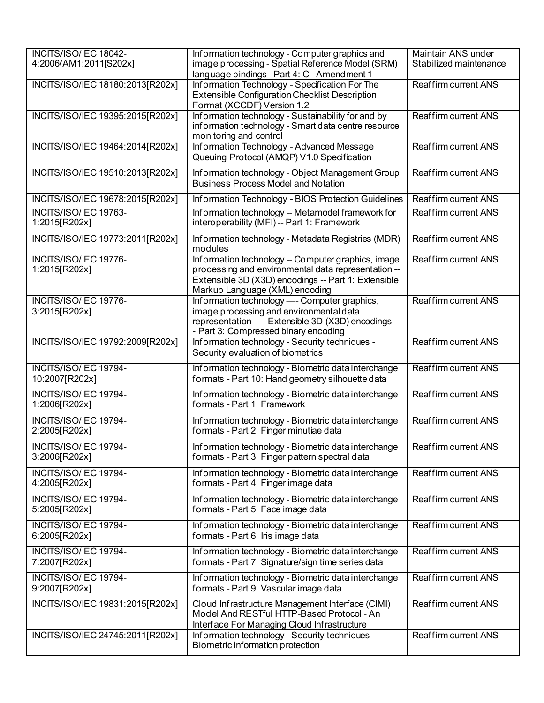| INCITS/ISO/IEC 18042-<br>4:2006/AM1:2011[S202x] | Information technology - Computer graphics and<br>image processing - Spatial Reference Model (SRM)<br>language bindings - Part 4: C - Amendment 1                                                  | Maintain ANS under<br>Stabilized maintenance |
|-------------------------------------------------|----------------------------------------------------------------------------------------------------------------------------------------------------------------------------------------------------|----------------------------------------------|
| INCITS/ISO/IEC 18180:2013[R202x]                | Information Technology - Specification For The<br><b>Extensible Configuration Checklist Description</b><br>Format (XCCDF) Version 1.2                                                              | Reaffirm current ANS                         |
| INCITS/ISO/IEC 19395:2015[R202x]                | Information technology - Sustainability for and by<br>information technology - Smart data centre resource<br>monitoring and control                                                                | Reaffirm current ANS                         |
| INCITS/ISO/IEC 19464:2014[R202x]                | Information Technology - Advanced Message<br>Queuing Protocol (AMQP) V1.0 Specification                                                                                                            | Reaffirm current ANS                         |
| INCITS/ISO/IEC 19510:2013[R202x]                | Information technology - Object Management Group<br><b>Business Process Model and Notation</b>                                                                                                     | <b>Reaffirm current ANS</b>                  |
| INCITS/ISO/IEC 19678:2015[R202x]                | Information Technology - BIOS Protection Guidelines                                                                                                                                                | <b>Reaffirm current ANS</b>                  |
| INCITS/ISO/IEC 19763-<br>1:2015[R202x]          | Information technology -- Metamodel framework for<br>interoperability (MFI) -- Part 1: Framework                                                                                                   | Reaffirm current ANS                         |
| INCITS/ISO/IEC 19773:2011[R202x]                | Information technology - Metadata Registries (MDR)<br>modules                                                                                                                                      | <b>Reaffirm current ANS</b>                  |
| INCITS/ISO/IEC 19776-<br>1:2015[R202x]          | Information technology -- Computer graphics, image<br>processing and environmental data representation --<br>Extensible 3D (X3D) encodings -- Part 1: Extensible<br>Markup Language (XML) encoding | Reaffirm current ANS                         |
| INCITS/ISO/IEC 19776-<br>3:2015[R202x]          | Information technology - Computer graphics,<br>image processing and environmental data<br>representation - Extensible 3D (X3D) encodings -<br>- Part 3: Compressed binary encoding                 | <b>Reaffirm current ANS</b>                  |
| INCITS/ISO/IEC 19792:2009[R202x]                | Information technology - Security techniques -<br>Security evaluation of biometrics                                                                                                                | <b>Reaffirm current ANS</b>                  |
| INCITS/ISO/IEC 19794-<br>10:2007[R202x]         | Information technology - Biometric data interchange<br>formats - Part 10: Hand geometry silhouette data                                                                                            | Reaffirm current ANS                         |
| INCITS/ISO/IEC 19794-<br>1:2006[R202x]          | Information technology - Biometric data interchange<br>formats - Part 1: Framework                                                                                                                 | Reaffirm current ANS                         |
| INCITS/ISO/IEC 19794-<br>2:2005[R202x]          | Information technology - Biometric data interchange<br>formats - Part 2: Finger minutiae data                                                                                                      | <b>Reaffirm current ANS</b>                  |
| <b>INCITS/ISO/IEC 19794-</b><br>3:2006[R202x]   | Information technology - Biometric data interchange<br>formats - Part 3: Finger pattern spectral data                                                                                              | Reaffirm current ANS                         |
| INCITS/ISO/IEC 19794-<br>4:2005[R202x]          | Information technology - Biometric data interchange<br>formats - Part 4: Finger image data                                                                                                         | Reaffirm current ANS                         |
| INCITS/ISO/IEC 19794-<br>5:2005[R202x]          | Information technology - Biometric data interchange<br>formats - Part 5: Face image data                                                                                                           | Reaffirm current ANS                         |
| <b>INCITS/ISO/IEC 19794-</b><br>6:2005[R202x]   | Information technology - Biometric data interchange<br>formats - Part 6: Iris image data                                                                                                           | Reaffirm current ANS                         |
| INCITS/ISO/IEC 19794-<br>7:2007[R202x]          | Information technology - Biometric data interchange<br>formats - Part 7: Signature/sign time series data                                                                                           | Reaffirm current ANS                         |
| INCITS/ISO/IEC 19794-<br>9:2007[R202x]          | Information technology - Biometric data interchange<br>formats - Part 9: Vascular image data                                                                                                       | Reaffirm current ANS                         |
| INCITS/ISO/IEC 19831:2015[R202x]                | Cloud Infrastructure Management Interface (CIMI)<br>Model And RESTful HTTP-Based Protocol - An<br>Interface For Managing Cloud Infrastructure                                                      | Reaffirm current ANS                         |
| INCITS/ISO/IEC 24745:2011[R202x]                | Information technology - Security techniques -<br>Biometric information protection                                                                                                                 | Reaffirm current ANS                         |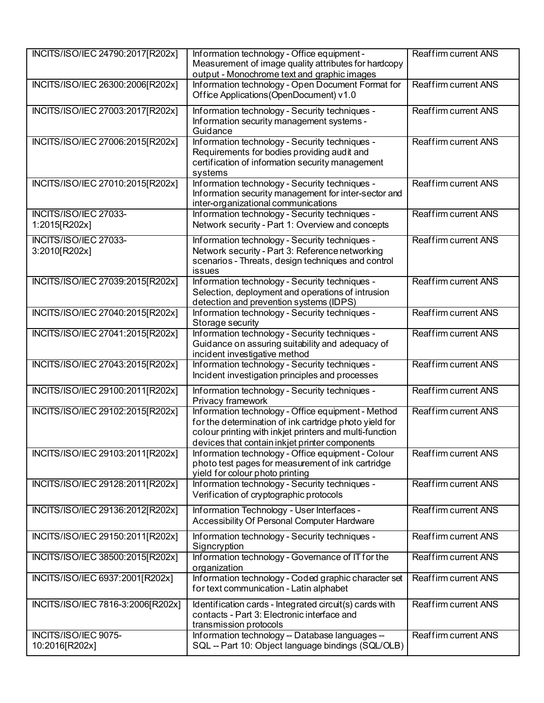| INCITS/ISO/IEC 24790:2017[R202x]              | Information technology - Office equipment -<br>Measurement of image quality attributes for hardcopy<br>output - Monochrome text and graphic images                                                                        | Reaffirm current ANS        |
|-----------------------------------------------|---------------------------------------------------------------------------------------------------------------------------------------------------------------------------------------------------------------------------|-----------------------------|
| INCITS/ISO/IEC 26300:2006[R202x]              | Information technology - Open Document Format for<br>Office Applications (OpenDocument) v1.0                                                                                                                              | Reaffirm current ANS        |
| INCITS/ISO/IEC 27003:2017[R202x]              | Information technology - Security techniques -<br>Information security management systems -<br>Guidance                                                                                                                   | Reaffirm current ANS        |
| INCITS/ISO/IEC 27006:2015[R202x]              | Information technology - Security techniques -<br>Requirements for bodies providing audit and<br>certification of information security management<br>systems                                                              | <b>Reaffirm current ANS</b> |
| INCITS/ISO/IEC 27010:2015[R202x]              | Information technology - Security techniques -<br>Information security management for inter-sector and<br>inter-organizational communications                                                                             | Reaffirm current ANS        |
| <b>INCITS/ISO/IEC 27033-</b><br>1:2015[R202x] | Information technology - Security techniques -<br>Network security - Part 1: Overview and concepts                                                                                                                        | <b>Reaffirm current ANS</b> |
| <b>INCITS/ISO/IEC 27033-</b><br>3:2010[R202x] | Information technology - Security techniques -<br>Network security - Part 3: Reference networking<br>scenarios - Threats, design techniques and control<br>issues                                                         | Reaffirm current ANS        |
| INCITS/ISO/IEC 27039:2015[R202x]              | Information technology - Security techniques -<br>Selection, deployment and operations of intrusion<br>detection and prevention systems (IDPS)                                                                            | Reaffirm current ANS        |
| INCITS/ISO/IEC 27040:2015[R202x]              | Information technology - Security techniques -<br>Storage security                                                                                                                                                        | Reaffirm current ANS        |
| INCITS/ISO/IEC 27041:2015[R202x]              | Information technology - Security techniques -<br>Guidance on assuring suitability and adequacy of<br>incident investigative method                                                                                       | <b>Reaffirm current ANS</b> |
| INCITS/ISO/IEC 27043:2015[R202x]              | Information technology - Security techniques -<br>Incident investigation principles and processes                                                                                                                         | Reaffirm current ANS        |
| INCITS/ISO/IEC 29100:2011[R202x]              | Information technology - Security techniques -<br>Privacy framework                                                                                                                                                       | Reaffirm current ANS        |
| INCITS/ISO/IEC 29102:2015[R202x]              | Information technology - Office equipment - Method<br>for the determination of ink cartridge photo yield for<br>colour printing with inkjet printers and multi-function<br>devices that contain inkjet printer components | <b>Reaffirm current ANS</b> |
| INCITS/ISO/IEC 29103:2011[R202x]              | Information technology - Office equipment - Colour<br>photo test pages for measurement of ink cartridge<br>yield for colour photo printing                                                                                | Reaffirm current ANS        |
| INCITS/ISO/IEC 29128:2011[R202x]              | Information technology - Security techniques -<br>Verification of cryptographic protocols                                                                                                                                 | <b>Reaffirm current ANS</b> |
| INCITS/ISO/IEC 29136:2012[R202x]              | Information Technology - User Interfaces -<br>Accessibility Of Personal Computer Hardware                                                                                                                                 | Reaffirm current ANS        |
| INCITS/ISO/IEC 29150:2011[R202x]              | Information technology - Security techniques -<br>Signcryption                                                                                                                                                            | Reaffirm current ANS        |
| INCITS/ISO/IEC 38500:2015[R202x]              | Information technology - Governance of IT for the<br>organization                                                                                                                                                         | Reaffirm current ANS        |
| INCITS/ISO/IEC 6937:2001[R202x]               | Information technology - Coded graphic character set<br>for text communication - Latin alphabet                                                                                                                           | Reaffirm current ANS        |
| INCITS/ISO/IEC 7816-3:2006[R202x]             | Identification cards - Integrated circuit(s) cards with<br>contacts - Part 3: Electronic interface and<br>transmission protocols                                                                                          | Reaffirm current ANS        |
| INCITS/ISO/IEC 9075-<br>10:2016[R202x]        | Information technology -- Database languages --<br>SQL -- Part 10: Object language bindings (SQL/OLB)                                                                                                                     | Reaffirm current ANS        |